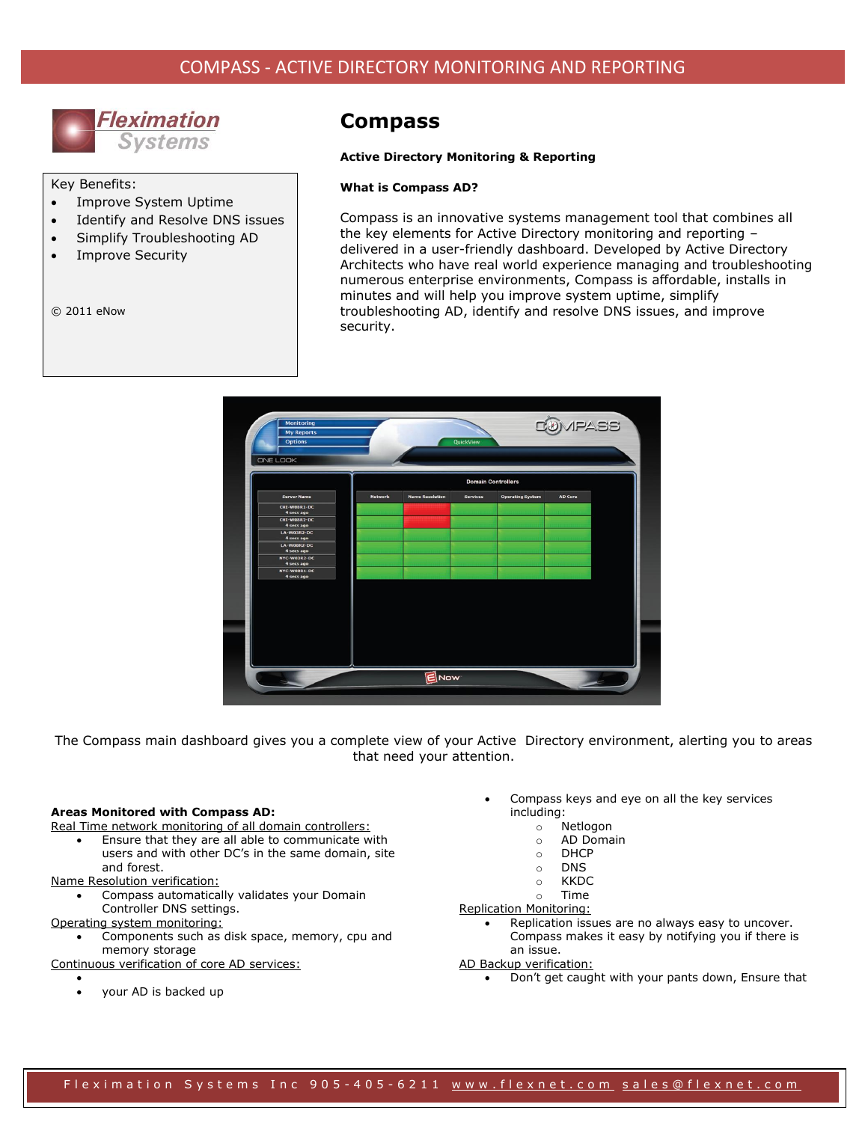

Key Benefits:

- Improve System Uptime
- Identify and Resolve DNS issues
- Simplify Troubleshooting AD
- Improve Security

© 2011 eNow

# **Compass**

#### **Active Directory Monitoring & Reporting**

#### **What is Compass AD?**

Compass is an innovative systems management tool that combines all the key elements for Active Directory monitoring and reporting – delivered in a user-friendly dashboard. Developed by Active Directory Architects who have real world experience managing and troubleshooting numerous enterprise environments, Compass is affordable, installs in minutes and will help you improve system uptime, simplify troubleshooting AD, identify and resolve DNS issues, and improve security.



The Compass main dashboard gives you a complete view of your Active Directory environment, alerting you to areas that need your attention.

#### **Areas Monitored with Compass AD:**

Real Time network monitoring of all domain controllers:

 Ensure that they are all able to communicate with users and with other DC's in the same domain, site and forest.

Name Resolution verification:

 Compass automatically validates your Domain Controller DNS settings.

Operating system monitoring:

 Components such as disk space, memory, cpu and memory storage

Continuous verification of core AD services:

 $\bullet$ your AD is backed up

- Compass keys and eye on all the key services including:
	- o Netlogon
	- o AD Domain
	- o DHCP
	- o DNS
	- o KKDC
	- o Time

Replication Monitoring:

- Replication issues are no always easy to uncover. Compass makes it easy by notifying you if there is an issue.
- AD Backup verification:
	- Don't get caught with your pants down, Ensure that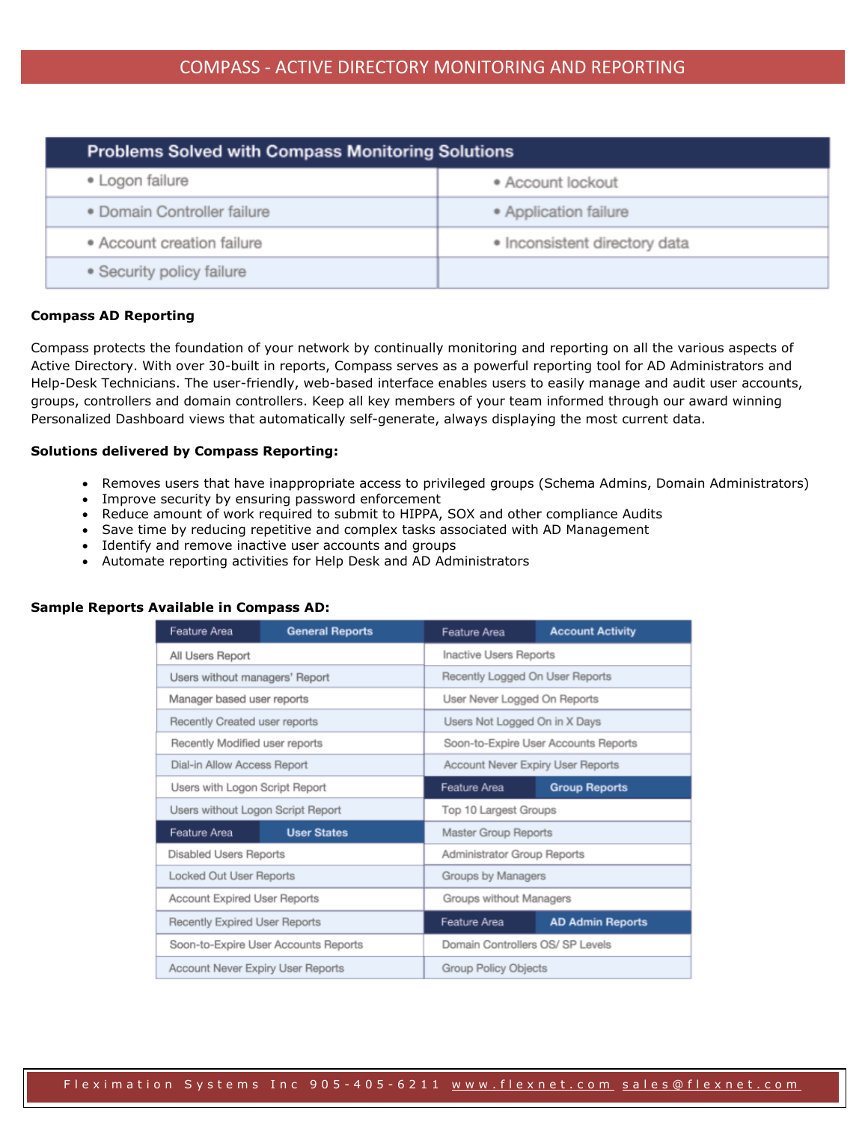| <b>Problems Solved with Compass Monitoring Solutions</b> |                               |  |
|----------------------------------------------------------|-------------------------------|--|
| • Logon failure                                          | • Account lockout             |  |
| · Domain Controller failure                              | • Application failure         |  |
| • Account creation failure                               | · Inconsistent directory data |  |
| • Security policy failure                                |                               |  |

# **Compass AD Reporting**

Compass protects the foundation of your network by continually monitoring and reporting on all the various aspects of Active Directory. With over 30-built in reports, Compass serves as a powerful reporting tool for AD Administrators and Help-Desk Technicians. The user-friendly, web-based interface enables users to easily manage and audit user accounts, groups, controllers and domain controllers. Keep all key members of your team informed through our award winning Personalized Dashboard views that automatically self-generate, always displaying the most current data.

# **Solutions delivered by Compass Reporting:**

- Removes users that have inappropriate access to privileged groups (Schema Admins, Domain Administrators)
- Improve security by ensuring password enforcement
- Reduce amount of work required to submit to HIPPA, SOX and other compliance Audits
- Save time by reducing repetitive and complex tasks associated with AD Management
- Identify and remove inactive user accounts and groups
- Automate reporting activities for Help Desk and AD Administrators

# **Sample Reports Available in Compass AD:**

| Feature Area                         | <b>General Reports</b>                                                  | Feature Area                            | <b>Account Activity</b> |
|--------------------------------------|-------------------------------------------------------------------------|-----------------------------------------|-------------------------|
| All Users Report                     |                                                                         | <b>Inactive Users Reports</b>           |                         |
| Users without managers' Report       |                                                                         | Recently Logged On User Reports         |                         |
| Manager based user reports           |                                                                         | User Never Logged On Reports            |                         |
| Recently Created user reports        |                                                                         | Users Not Logged On in X Days           |                         |
| Recently Modified user reports       |                                                                         | Soon-to-Expire User Accounts Reports    |                         |
| Dial-in Allow Access Report          |                                                                         | Account Never Expiry User Reports       |                         |
| Users with Logon Script Report       |                                                                         | Feature Area                            | <b>Group Reports</b>    |
| Users without Logon Script Report    |                                                                         | Top 10 Largest Groups                   |                         |
| Feature Area                         | <b>User States</b>                                                      | <b>Master Group Reports</b>             |                         |
| <b>Disabled Users Reports</b>        |                                                                         | <b>Administrator Group Reports</b>      |                         |
| <b>Locked Out User Reports</b>       |                                                                         | Groups by Managers                      |                         |
| <b>Account Expired User Reports</b>  |                                                                         | Groups without Managers                 |                         |
| <b>Recently Expired User Reports</b> |                                                                         | Feature Area<br><b>AD Admin Reports</b> |                         |
| Soon-to-Expire User Accounts Reports |                                                                         | Domain Controllers OS/ SP Levels        |                         |
|                                      | <b>Account Never Expiry User Reports</b><br><b>Group Policy Objects</b> |                                         |                         |